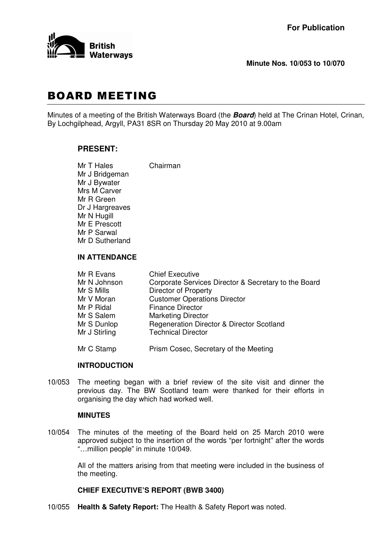

## **Minute Nos. 10/053 to 10/070**

# **BOARD MEETING**

Minutes of a meeting of the British Waterways Board (the *Board*) held at The Crinan Hotel, Crinan, By Lochgilphead, Argyll, PA31 8SR on Thursday 20 May 2010 at 9.00am

# **PRESENT:**

Mr T Hales Chairman Mr J Bridgeman Mr J Bywater Mrs M Carver Mr R Green Dr J Hargreaves Mr N Hugill Mr E Prescott Mr P Sarwal Mr D Sutherland

# **IN ATTENDANCE**

| Mr R Evans    | <b>Chief Executive</b>                               |
|---------------|------------------------------------------------------|
| Mr N Johnson  | Corporate Services Director & Secretary to the Board |
| Mr S Mills    | <b>Director of Property</b>                          |
| Mr V Moran    | <b>Customer Operations Director</b>                  |
| Mr P Ridal    | <b>Finance Director</b>                              |
| Mr S Salem    | <b>Marketing Director</b>                            |
| Mr S Dunlop   | Regeneration Director & Director Scotland            |
| Mr J Stirling | <b>Technical Director</b>                            |
| Mr C Stamp    | Prism Cosec, Secretary of the Meeting                |

#### **INTRODUCTION**

10/053 The meeting began with a brief review of the site visit and dinner the previous day. The BW Scotland team were thanked for their efforts in organising the day which had worked well.

### **MINUTES**

10/054 The minutes of the meeting of the Board held on 25 March 2010 were approved subject to the insertion of the words "per fortnight" after the words "…million people" in minute 10/049.

> All of the matters arising from that meeting were included in the business of the meeting.

## **CHIEF EXECUTIVE'S REPORT (BWB 3400)**

10/055 **Health & Safety Report:** The Health & Safety Report was noted.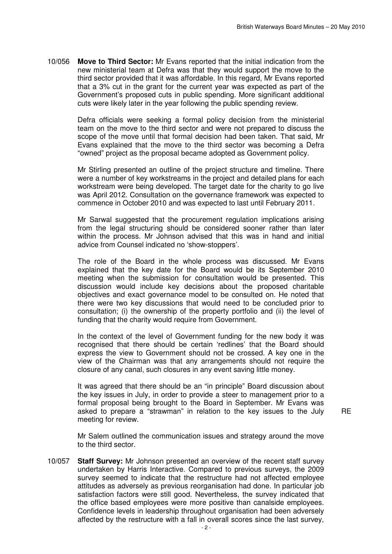10/056 **Move to Third Sector:** Mr Evans reported that the initial indication from the new ministerial team at Defra was that they would support the move to the third sector provided that it was affordable. In this regard, Mr Evans reported that a 3% cut in the grant for the current year was expected as part of the Government's proposed cuts in public spending. More significant additional cuts were likely later in the year following the public spending review.

> Defra officials were seeking a formal policy decision from the ministerial team on the move to the third sector and were not prepared to discuss the scope of the move until that formal decision had been taken. That said, Mr Evans explained that the move to the third sector was becoming a Defra "owned" project as the proposal became adopted as Government policy.

> Mr Stirling presented an outline of the project structure and timeline. There were a number of key workstreams in the project and detailed plans for each workstream were being developed. The target date for the charity to go live was April 2012. Consultation on the governance framework was expected to commence in October 2010 and was expected to last until February 2011.

> Mr Sarwal suggested that the procurement regulation implications arising from the legal structuring should be considered sooner rather than later within the process. Mr Johnson advised that this was in hand and initial advice from Counsel indicated no 'show-stoppers'.

> The role of the Board in the whole process was discussed. Mr Evans explained that the key date for the Board would be its September 2010 meeting when the submission for consultation would be presented. This discussion would include key decisions about the proposed charitable objectives and exact governance model to be consulted on. He noted that there were two key discussions that would need to be concluded prior to consultation; (i) the ownership of the property portfolio and (ii) the level of funding that the charity would require from Government.

> In the context of the level of Government funding for the new body it was recognised that there should be certain 'redlines' that the Board should express the view to Government should not be crossed. A key one in the view of the Chairman was that any arrangements should not require the closure of any canal, such closures in any event saving little money.

> It was agreed that there should be an "in principle" Board discussion about the key issues in July, in order to provide a steer to management prior to a formal proposal being brought to the Board in September. Mr Evans was asked to prepare a "strawman" in relation to the key issues to the July meeting for review.

RE

Mr Salem outlined the communication issues and strategy around the move to the third sector.

10/057 **Staff Survey:** Mr Johnson presented an overview of the recent staff survey undertaken by Harris Interactive. Compared to previous surveys, the 2009 survey seemed to indicate that the restructure had not affected employee attitudes as adversely as previous reorganisation had done. In particular job satisfaction factors were still good. Nevertheless, the survey indicated that the office based employees were more positive than canalside employees. Confidence levels in leadership throughout organisation had been adversely affected by the restructure with a fall in overall scores since the last survey,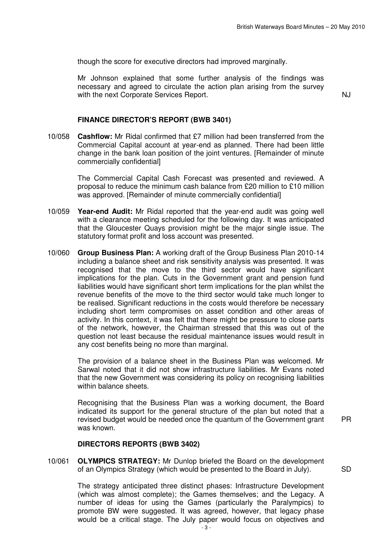though the score for executive directors had improved marginally.

Mr Johnson explained that some further analysis of the findings was necessary and agreed to circulate the action plan arising from the survey with the next Corporate Services Report.

## **FINANCE DIRECTOR'S REPORT (BWB 3401)**

10/058 **Cashflow:** Mr Ridal confirmed that £7 million had been transferred from the Commercial Capital account at year-end as planned. There had been little change in the bank loan position of the joint ventures. [Remainder of minute commercially confidential]

> The Commercial Capital Cash Forecast was presented and reviewed. A proposal to reduce the minimum cash balance from £20 million to £10 million was approved. [Remainder of minute commercially confidential]

- 10/059 **Year-end Audit:** Mr Ridal reported that the year-end audit was going well with a clearance meeting scheduled for the following day. It was anticipated that the Gloucester Quays provision might be the major single issue. The statutory format profit and loss account was presented.
- 10/060 **Group Business Plan:** A working draft of the Group Business Plan 2010-14 including a balance sheet and risk sensitivity analysis was presented. It was recognised that the move to the third sector would have significant implications for the plan. Cuts in the Government grant and pension fund liabilities would have significant short term implications for the plan whilst the revenue benefits of the move to the third sector would take much longer to be realised. Significant reductions in the costs would therefore be necessary including short term compromises on asset condition and other areas of activity. In this context, it was felt that there might be pressure to close parts of the network, however, the Chairman stressed that this was out of the question not least because the residual maintenance issues would result in any cost benefits being no more than marginal.

The provision of a balance sheet in the Business Plan was welcomed. Mr Sarwal noted that it did not show infrastructure liabilities. Mr Evans noted that the new Government was considering its policy on recognising liabilities within balance sheets.

Recognising that the Business Plan was a working document, the Board indicated its support for the general structure of the plan but noted that a revised budget would be needed once the quantum of the Government grant was known.

PR

#### **DIRECTORS REPORTS (BWB 3402)**

10/061 **OLYMPICS STRATEGY:** Mr Dunlop briefed the Board on the development of an Olympics Strategy (which would be presented to the Board in July). SD

The strategy anticipated three distinct phases: Infrastructure Development (which was almost complete); the Games themselves; and the Legacy. A number of ideas for using the Games (particularly the Paralympics) to promote BW were suggested. It was agreed, however, that legacy phase would be a critical stage. The July paper would focus on objectives and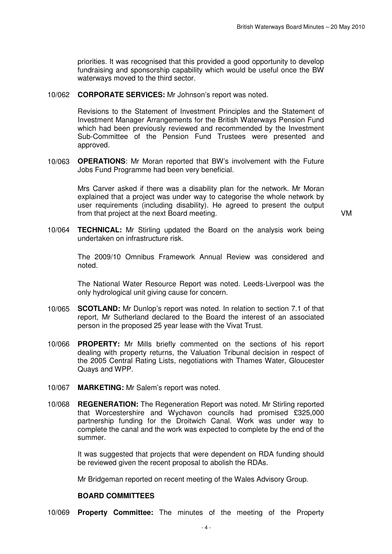priorities. It was recognised that this provided a good opportunity to develop fundraising and sponsorship capability which would be useful once the BW waterways moved to the third sector.

10/062 **CORPORATE SERVICES:** Mr Johnson's report was noted.

Revisions to the Statement of Investment Principles and the Statement of Investment Manager Arrangements for the British Waterways Pension Fund which had been previously reviewed and recommended by the Investment Sub-Committee of the Pension Fund Trustees were presented and approved.

10/063 **OPERATIONS**: Mr Moran reported that BW's involvement with the Future Jobs Fund Programme had been very beneficial.

> Mrs Carver asked if there was a disability plan for the network. Mr Moran explained that a project was under way to categorise the whole network by user requirements (including disability). He agreed to present the output from that project at the next Board meeting. VM

10/064 **TECHNICAL:** Mr Stirling updated the Board on the analysis work being undertaken on infrastructure risk.

> The 2009/10 Omnibus Framework Annual Review was considered and noted.

> The National Water Resource Report was noted. Leeds-Liverpool was the only hydrological unit giving cause for concern.

- 10/065 **SCOTLAND:** Mr Dunlop's report was noted. In relation to section 7.1 of that report, Mr Sutherland declared to the Board the interest of an associated person in the proposed 25 year lease with the Vivat Trust.
- 10/066 **PROPERTY:** Mr Mills briefly commented on the sections of his report dealing with property returns, the Valuation Tribunal decision in respect of the 2005 Central Rating Lists, negotiations with Thames Water, Gloucester Quays and WPP.
- 10/067 **MARKETING:** Mr Salem's report was noted.
- 10/068 **REGENERATION:** The Regeneration Report was noted. Mr Stirling reported that Worcestershire and Wychavon councils had promised £325,000 partnership funding for the Droitwich Canal. Work was under way to complete the canal and the work was expected to complete by the end of the summer.

It was suggested that projects that were dependent on RDA funding should be reviewed given the recent proposal to abolish the RDAs.

Mr Bridgeman reported on recent meeting of the Wales Advisory Group.

#### **BOARD COMMITTEES**

10/069 **Property Committee:** The minutes of the meeting of the Property